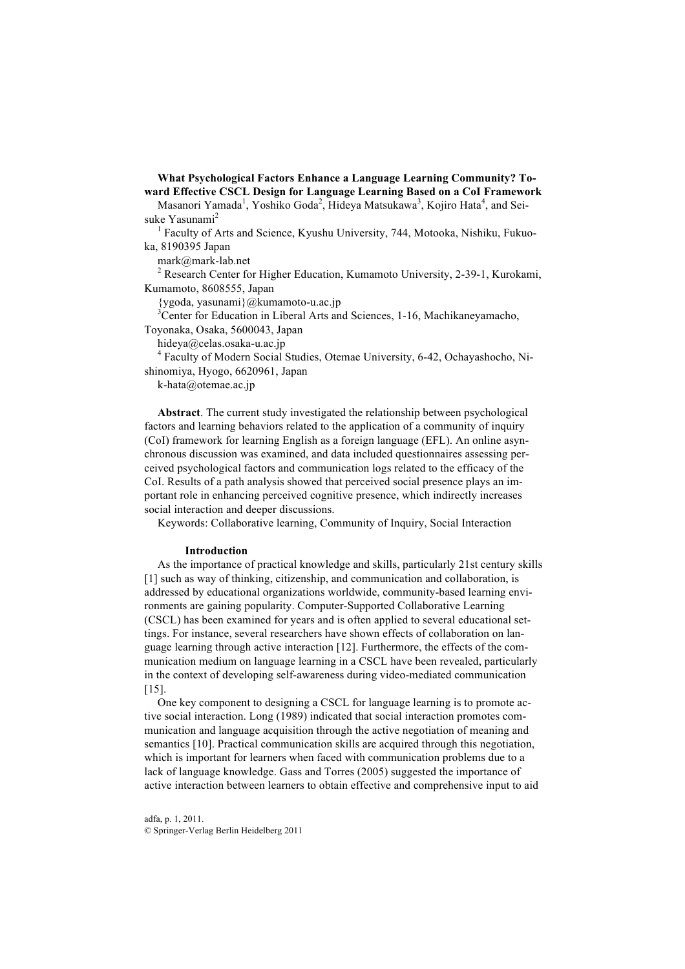**What Psychological Factors Enhance a Language Learning Community? Toward Effective CSCL Design for Language Learning Based on a CoI Framework**

Masanori Yamada<sup>1</sup>, Yoshiko Goda<sup>2</sup>, Hideya Matsukawa<sup>3</sup>, Kojiro Hata<sup>4</sup>, and Seisuke Yasunami<sup>2</sup>

<sup>1</sup> Faculty of Arts and Science, Kyushu University, 744, Motooka, Nishiku, Fukuoka, 8190395 Japan

mark@mark-lab.net

<sup>2</sup> Research Center for Higher Education, Kumamoto University, 2-39-1, Kurokami, Kumamoto, 8608555, Japan

{ygoda, yasunami}@kumamoto-u.ac.jp 3 Center for Education in Liberal Arts and Sciences, 1-16, Machikaneyamacho, Toyonaka, Osaka, 5600043, Japan

hideya@celas.osaka-u.ac.jp

<sup>4</sup> Faculty of Modern Social Studies, Otemae University, 6-42, Ochayashocho, Nishinomiya, Hyogo, 6620961, Japan

k-hata@otemae.ac.jp

**Abstract**. The current study investigated the relationship between psychological factors and learning behaviors related to the application of a community of inquiry (CoI) framework for learning English as a foreign language (EFL). An online asynchronous discussion was examined, and data included questionnaires assessing perceived psychological factors and communication logs related to the efficacy of the CoI. Results of a path analysis showed that perceived social presence plays an important role in enhancing perceived cognitive presence, which indirectly increases social interaction and deeper discussions.

Keywords: Collaborative learning, Community of Inquiry, Social Interaction

#### **Introduction**

As the importance of practical knowledge and skills, particularly 21st century skills [1] such as way of thinking, citizenship, and communication and collaboration, is addressed by educational organizations worldwide, community-based learning environments are gaining popularity. Computer-Supported Collaborative Learning (CSCL) has been examined for years and is often applied to several educational settings. For instance, several researchers have shown effects of collaboration on language learning through active interaction [12]. Furthermore, the effects of the communication medium on language learning in a CSCL have been revealed, particularly in the context of developing self-awareness during video-mediated communication [15].

One key component to designing a CSCL for language learning is to promote active social interaction. Long (1989) indicated that social interaction promotes communication and language acquisition through the active negotiation of meaning and semantics [10]. Practical communication skills are acquired through this negotiation, which is important for learners when faced with communication problems due to a lack of language knowledge. Gass and Torres (2005) suggested the importance of active interaction between learners to obtain effective and comprehensive input to aid

adfa, p. 1, 2011. © Springer-Verlag Berlin Heidelberg 2011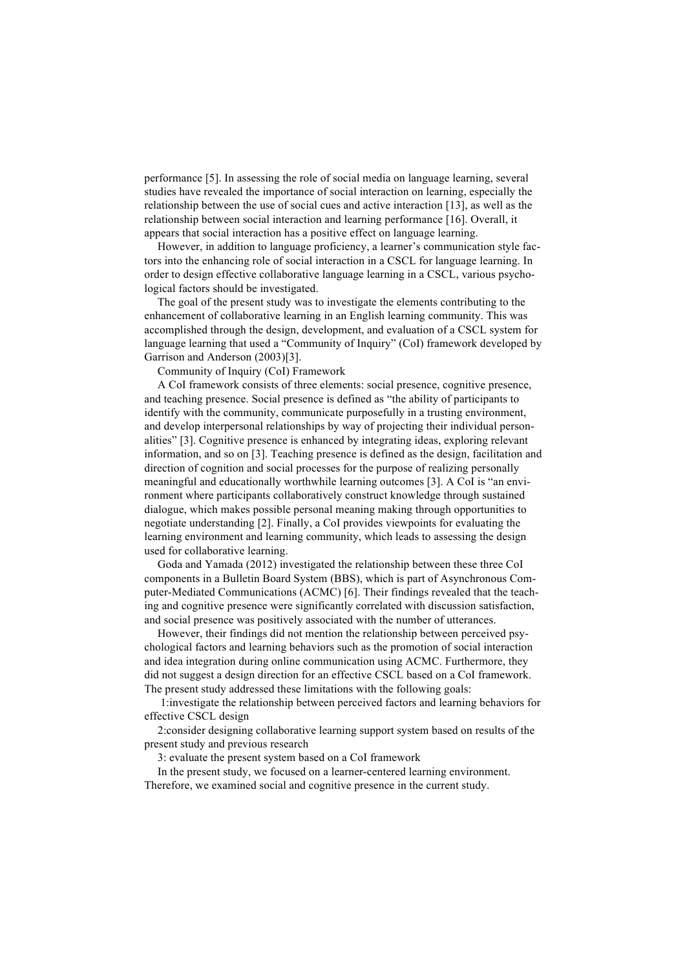performance [5]. In assessing the role of social media on language learning, several studies have revealed the importance of social interaction on learning, especially the relationship between the use of social cues and active interaction [13], as well as the relationship between social interaction and learning performance [16]. Overall, it appears that social interaction has a positive effect on language learning.

However, in addition to language proficiency, a learner's communication style factors into the enhancing role of social interaction in a CSCL for language learning. In order to design effective collaborative language learning in a CSCL, various psychological factors should be investigated.

The goal of the present study was to investigate the elements contributing to the enhancement of collaborative learning in an English learning community. This was accomplished through the design, development, and evaluation of a CSCL system for language learning that used a "Community of Inquiry" (CoI) framework developed by Garrison and Anderson (2003)[3].

Community of Inquiry (CoI) Framework

A CoI framework consists of three elements: social presence, cognitive presence, and teaching presence. Social presence is defined as "the ability of participants to identify with the community, communicate purposefully in a trusting environment, and develop interpersonal relationships by way of projecting their individual personalities" [3]. Cognitive presence is enhanced by integrating ideas, exploring relevant information, and so on [3]. Teaching presence is defined as the design, facilitation and direction of cognition and social processes for the purpose of realizing personally meaningful and educationally worthwhile learning outcomes [3]. A CoI is "an environment where participants collaboratively construct knowledge through sustained dialogue, which makes possible personal meaning making through opportunities to negotiate understanding [2]. Finally, a CoI provides viewpoints for evaluating the learning environment and learning community, which leads to assessing the design used for collaborative learning.

Goda and Yamada (2012) investigated the relationship between these three CoI components in a Bulletin Board System (BBS), which is part of Asynchronous Computer-Mediated Communications (ACMC) [6]. Their findings revealed that the teaching and cognitive presence were significantly correlated with discussion satisfaction, and social presence was positively associated with the number of utterances.

However, their findings did not mention the relationship between perceived psychological factors and learning behaviors such as the promotion of social interaction and idea integration during online communication using ACMC. Furthermore, they did not suggest a design direction for an effective CSCL based on a CoI framework. The present study addressed these limitations with the following goals:

1:investigate the relationship between perceived factors and learning behaviors for effective CSCL design

2:consider designing collaborative learning support system based on results of the present study and previous research

3: evaluate the present system based on a CoI framework

In the present study, we focused on a learner-centered learning environment. Therefore, we examined social and cognitive presence in the current study.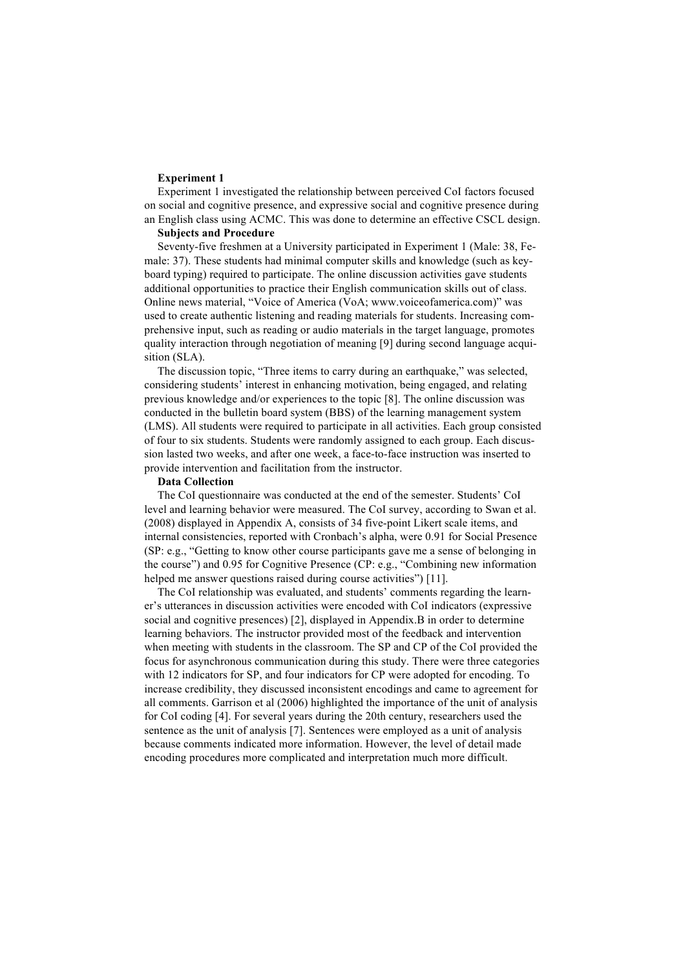#### **Experiment 1**

Experiment 1 investigated the relationship between perceived CoI factors focused on social and cognitive presence, and expressive social and cognitive presence during an English class using ACMC. This was done to determine an effective CSCL design.

# **Subjects and Procedure**

Seventy-five freshmen at a University participated in Experiment 1 (Male: 38, Female: 37). These students had minimal computer skills and knowledge (such as keyboard typing) required to participate. The online discussion activities gave students additional opportunities to practice their English communication skills out of class. Online news material, "Voice of America (VoA; www.voiceofamerica.com)" was used to create authentic listening and reading materials for students. Increasing comprehensive input, such as reading or audio materials in the target language, promotes quality interaction through negotiation of meaning [9] during second language acquisition (SLA).

The discussion topic, "Three items to carry during an earthquake," was selected, considering students' interest in enhancing motivation, being engaged, and relating previous knowledge and/or experiences to the topic [8]. The online discussion was conducted in the bulletin board system (BBS) of the learning management system (LMS). All students were required to participate in all activities. Each group consisted of four to six students. Students were randomly assigned to each group. Each discussion lasted two weeks, and after one week, a face-to-face instruction was inserted to provide intervention and facilitation from the instructor.

#### **Data Collection**

The CoI questionnaire was conducted at the end of the semester. Students' CoI level and learning behavior were measured. The CoI survey, according to Swan et al. (2008) displayed in Appendix A, consists of 34 five-point Likert scale items, and internal consistencies, reported with Cronbach's alpha, were 0.91 for Social Presence (SP: e.g., "Getting to know other course participants gave me a sense of belonging in the course") and 0.95 for Cognitive Presence (CP: e.g., "Combining new information helped me answer questions raised during course activities") [11].

The CoI relationship was evaluated, and students' comments regarding the learner's utterances in discussion activities were encoded with CoI indicators (expressive social and cognitive presences) [2], displayed in Appendix.B in order to determine learning behaviors. The instructor provided most of the feedback and intervention when meeting with students in the classroom. The SP and CP of the CoI provided the focus for asynchronous communication during this study. There were three categories with 12 indicators for SP, and four indicators for CP were adopted for encoding. To increase credibility, they discussed inconsistent encodings and came to agreement for all comments. Garrison et al (2006) highlighted the importance of the unit of analysis for CoI coding [4]. For several years during the 20th century, researchers used the sentence as the unit of analysis [7]. Sentences were employed as a unit of analysis because comments indicated more information. However, the level of detail made encoding procedures more complicated and interpretation much more difficult.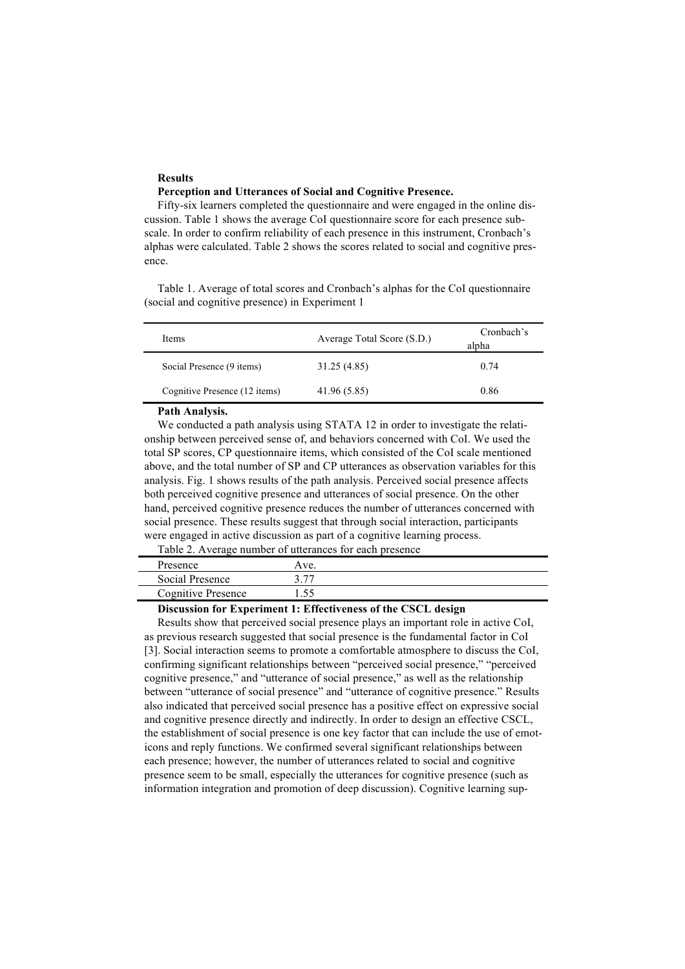## **Results Perception and Utterances of Social and Cognitive Presence.**

Fifty-six learners completed the questionnaire and were engaged in the online discussion. Table 1 shows the average CoI questionnaire score for each presence subscale. In order to confirm reliability of each presence in this instrument, Cronbach's alphas were calculated. Table 2 shows the scores related to social and cognitive presence.

Table 1. Average of total scores and Cronbach's alphas for the CoI questionnaire (social and cognitive presence) in Experiment 1

| Items                         | Average Total Score (S.D.) | Cronbach's<br>alpha |
|-------------------------------|----------------------------|---------------------|
| Social Presence (9 items)     | 31.25 (4.85)               | 0.74                |
| Cognitive Presence (12 items) | 41.96 (5.85)               | 0.86                |
| _ _ . _ .                     |                            |                     |

## **Path Analysis.**

We conducted a path analysis using STATA 12 in order to investigate the relationship between perceived sense of, and behaviors concerned with CoI. We used the total SP scores, CP questionnaire items, which consisted of the CoI scale mentioned above, and the total number of SP and CP utterances as observation variables for this analysis. Fig. 1 shows results of the path analysis. Perceived social presence affects both perceived cognitive presence and utterances of social presence. On the other hand, perceived cognitive presence reduces the number of utterances concerned with social presence. These results suggest that through social interaction, participants were engaged in active discussion as part of a cognitive learning process.

Table 2. Average number of utterances for each presence

| Presence                  | Ave. |  |
|---------------------------|------|--|
| Social Presence           | רי י |  |
| <b>Cognitive Presence</b> | 55   |  |

## **Discussion for Experiment 1: Effectiveness of the CSCL design**

Results show that perceived social presence plays an important role in active CoI, as previous research suggested that social presence is the fundamental factor in CoI [3]. Social interaction seems to promote a comfortable atmosphere to discuss the CoI, confirming significant relationships between "perceived social presence," "perceived cognitive presence," and "utterance of social presence," as well as the relationship between "utterance of social presence" and "utterance of cognitive presence." Results also indicated that perceived social presence has a positive effect on expressive social and cognitive presence directly and indirectly. In order to design an effective CSCL, the establishment of social presence is one key factor that can include the use of emoticons and reply functions. We confirmed several significant relationships between each presence; however, the number of utterances related to social and cognitive presence seem to be small, especially the utterances for cognitive presence (such as information integration and promotion of deep discussion). Cognitive learning sup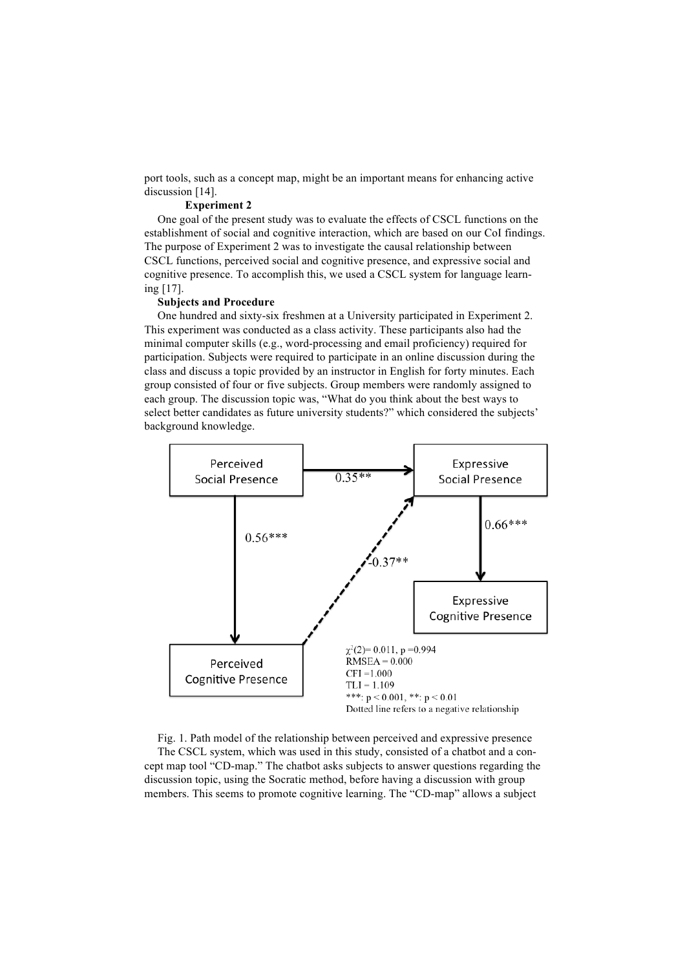port tools, such as a concept map, might be an important means for enhancing active discussion [14].

## **Experiment 2**

One goal of the present study was to evaluate the effects of CSCL functions on the establishment of social and cognitive interaction, which are based on our CoI findings. The purpose of Experiment 2 was to investigate the causal relationship between CSCL functions, perceived social and cognitive presence, and expressive social and cognitive presence. To accomplish this, we used a CSCL system for language learning [17].

### **Subjects and Procedure**

One hundred and sixty-six freshmen at a University participated in Experiment 2. This experiment was conducted as a class activity. These participants also had the minimal computer skills (e.g., word-processing and email proficiency) required for participation. Subjects were required to participate in an online discussion during the class and discuss a topic provided by an instructor in English for forty minutes. Each group consisted of four or five subjects. Group members were randomly assigned to each group. The discussion topic was, "What do you think about the best ways to select better candidates as future university students?" which considered the subjects' background knowledge.



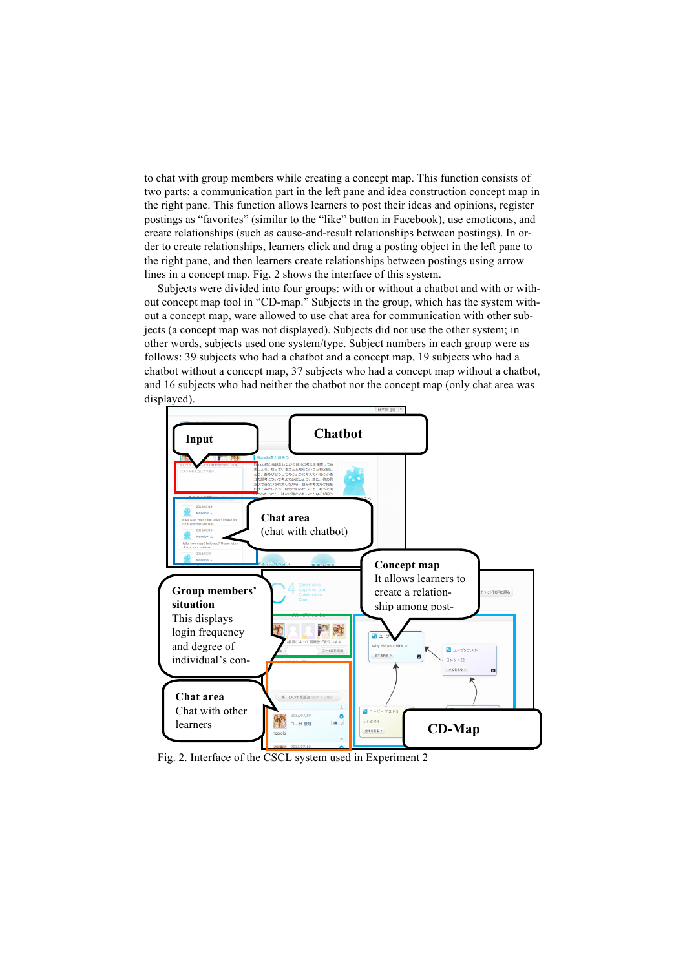to chat with group members while creating a concept map. This function consists of two parts: a communication part in the left pane and idea construction concept map in the right pane. This function allows learners to post their ideas and opinions, register postings as "favorites" (similar to the "like" button in Facebook), use emoticons, and create relationships (such as cause-and-result relationships between postings). In order to create relationships, learners click and drag a posting object in the left pane to the right pane, and then learners create relationships between postings using arrow lines in a concept map. Fig. 2 shows the interface of this system.

Subjects were divided into four groups: with or without a chatbot and with or without concept map tool in "CD-map." Subjects in the group, which has the system without a concept map, ware allowed to use chat area for communication with other subjects (a concept map was not displayed). Subjects did not use the other system; in other words, subjects used one system/type. Subject numbers in each group were as follows: 39 subjects who had a chatbot and a concept map, 19 subjects who had a chatbot without a concept map, 37 subjects who had a concept map without a chatbot, and 16 subjects who had neither the chatbot nor the concept map (only chat area was displayed).



Fig. 2. Interface of the CSCL system used in Experiment 2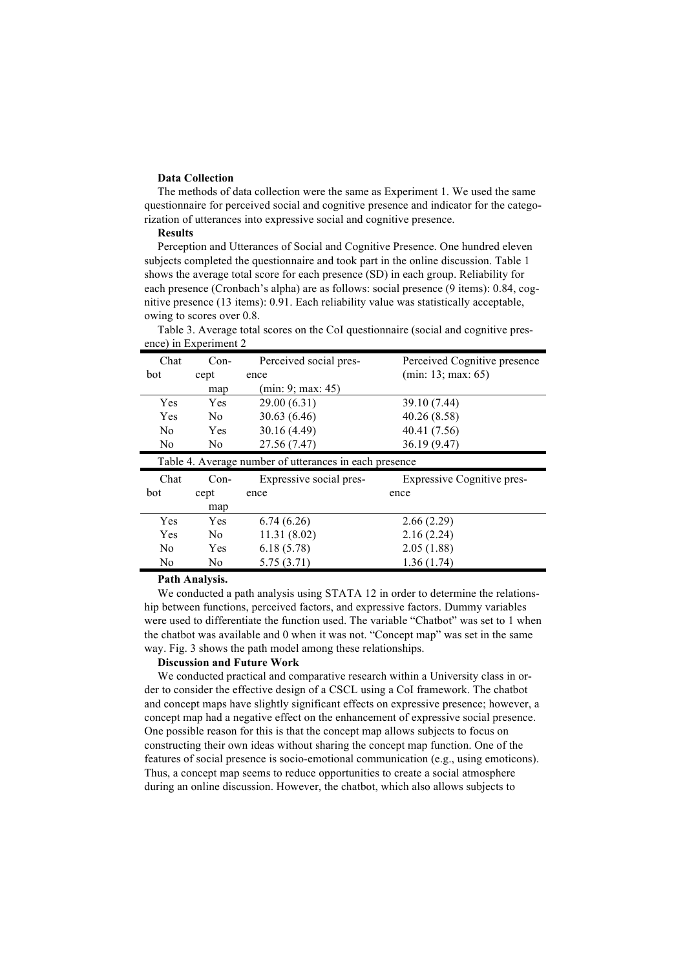## **Data Collection**

The methods of data collection were the same as Experiment 1. We used the same questionnaire for perceived social and cognitive presence and indicator for the categorization of utterances into expressive social and cognitive presence.

## **Results**

Perception and Utterances of Social and Cognitive Presence. One hundred eleven subjects completed the questionnaire and took part in the online discussion. Table 1 shows the average total score for each presence (SD) in each group. Reliability for each presence (Cronbach's alpha) are as follows: social presence (9 items): 0.84, cognitive presence (13 items): 0.91. Each reliability value was statistically acceptable, owing to scores over 0.8.

| Chat           | $Con-$         | Perceived social pres-                                 | Perceived Cognitive presence      |
|----------------|----------------|--------------------------------------------------------|-----------------------------------|
| bot            | cept           | ence                                                   | (min: 13; max: 65)                |
|                | map            | (min: 9; max: 45)                                      |                                   |
| <b>Yes</b>     | Yes            | 29.00 (6.31)                                           | 39.10 (7.44)                      |
| Yes            | No.            | 30.63(6.46)                                            | 40.26 (8.58)                      |
| N <sub>0</sub> | Yes            | 30.16 (4.49)                                           | 40.41 (7.56)                      |
| N <sub>0</sub> | No             | 27.56 (7.47)                                           | 36.19 (9.47)                      |
|                |                |                                                        |                                   |
|                |                | Table 4. Average number of utterances in each presence |                                   |
| Chat           | $Con-$         | Expressive social pres-                                | <b>Expressive Cognitive pres-</b> |
| bot            | cept           | ence                                                   | ence                              |
|                | map            |                                                        |                                   |
| Yes            | Yes            | 6.74(6.26)                                             | 2.66(2.29)                        |
| Yes            | N <sub>0</sub> | 11.31 (8.02)                                           | 2.16(2.24)                        |
| N <sub>0</sub> | Yes            | 6.18(5.78)                                             | 2.05(1.88)                        |
| No             | No             | 5.75(3.71)                                             | 1.36(1.74)                        |

Table 3. Average total scores on the CoI questionnaire (social and cognitive presence) in Experiment 2

#### **Path Analysis.**

We conducted a path analysis using STATA 12 in order to determine the relationship between functions, perceived factors, and expressive factors. Dummy variables were used to differentiate the function used. The variable "Chatbot" was set to 1 when the chatbot was available and 0 when it was not. "Concept map" was set in the same way. Fig. 3 shows the path model among these relationships.

# **Discussion and Future Work**

We conducted practical and comparative research within a University class in order to consider the effective design of a CSCL using a CoI framework. The chatbot and concept maps have slightly significant effects on expressive presence; however, a concept map had a negative effect on the enhancement of expressive social presence. One possible reason for this is that the concept map allows subjects to focus on constructing their own ideas without sharing the concept map function. One of the features of social presence is socio-emotional communication (e.g., using emoticons). Thus, a concept map seems to reduce opportunities to create a social atmosphere during an online discussion. However, the chatbot, which also allows subjects to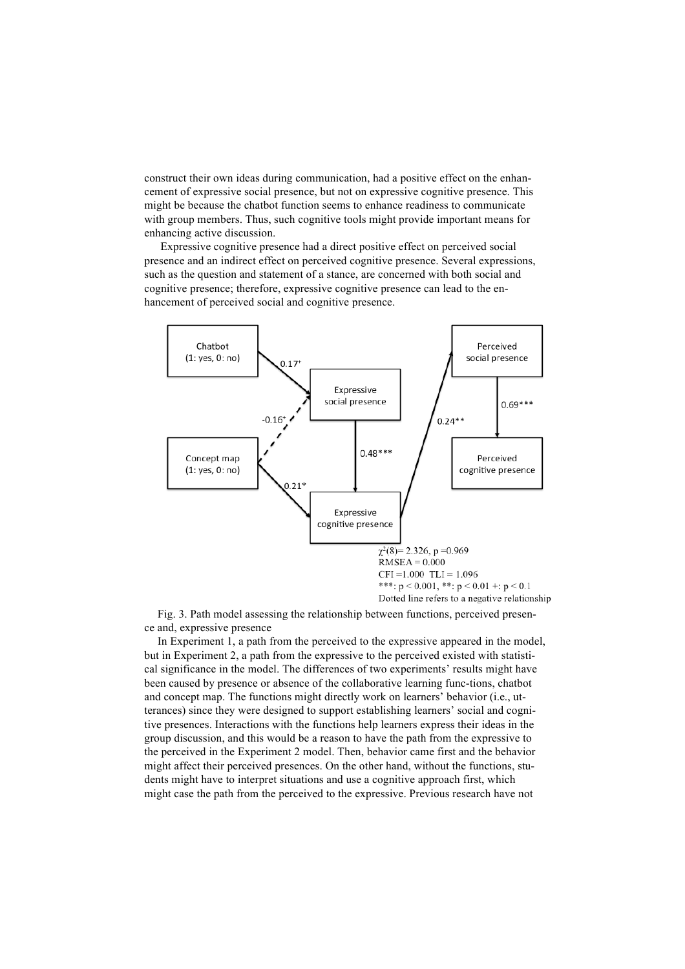construct their own ideas during communication, had a positive effect on the enhancement of expressive social presence, but not on expressive cognitive presence. This might be because the chatbot function seems to enhance readiness to communicate with group members. Thus, such cognitive tools might provide important means for enhancing active discussion.

Expressive cognitive presence had a direct positive effect on perceived social presence and an indirect effect on perceived cognitive presence. Several expressions, such as the question and statement of a stance, are concerned with both social and cognitive presence; therefore, expressive cognitive presence can lead to the enhancement of perceived social and cognitive presence.



Fig. 3. Path model assessing the relationship between functions, perceived presence and, expressive presence

In Experiment 1, a path from the perceived to the expressive appeared in the model, but in Experiment 2, a path from the expressive to the perceived existed with statistical significance in the model. The differences of two experiments' results might have been caused by presence or absence of the collaborative learning func-tions, chatbot and concept map. The functions might directly work on learners' behavior (i.e., utterances) since they were designed to support establishing learners' social and cognitive presences. Interactions with the functions help learners express their ideas in the group discussion, and this would be a reason to have the path from the expressive to the perceived in the Experiment 2 model. Then, behavior came first and the behavior might affect their perceived presences. On the other hand, without the functions, students might have to interpret situations and use a cognitive approach first, which might case the path from the perceived to the expressive. Previous research have not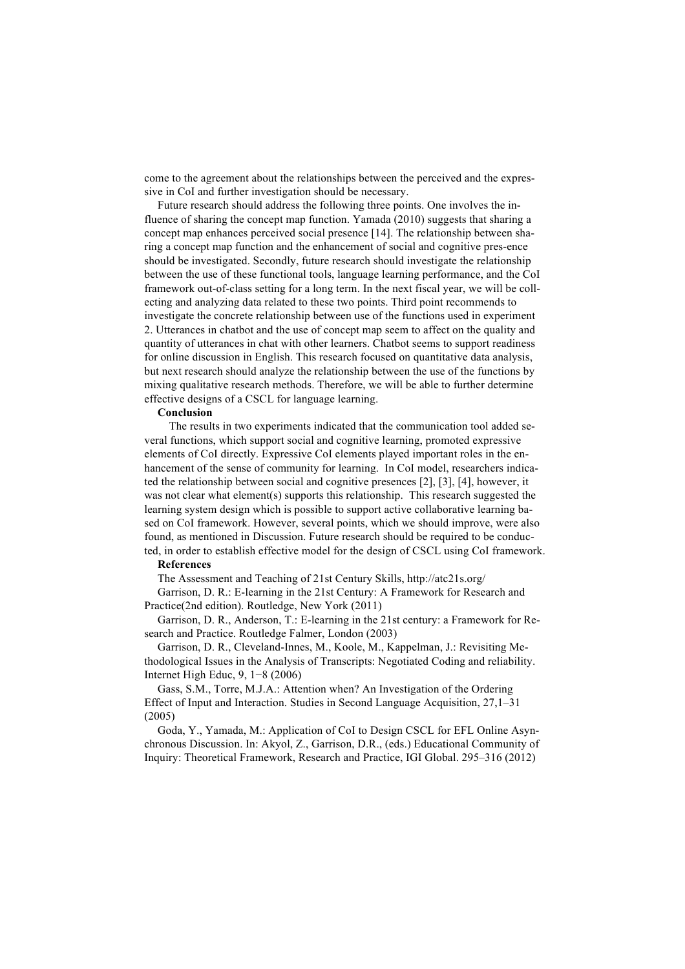come to the agreement about the relationships between the perceived and the expressive in CoI and further investigation should be necessary.

Future research should address the following three points. One involves the influence of sharing the concept map function. Yamada (2010) suggests that sharing a concept map enhances perceived social presence [14]. The relationship between sharing a concept map function and the enhancement of social and cognitive pres-ence should be investigated. Secondly, future research should investigate the relationship between the use of these functional tools, language learning performance, and the CoI framework out-of-class setting for a long term. In the next fiscal year, we will be collecting and analyzing data related to these two points. Third point recommends to investigate the concrete relationship between use of the functions used in experiment 2. Utterances in chatbot and the use of concept map seem to affect on the quality and quantity of utterances in chat with other learners. Chatbot seems to support readiness for online discussion in English. This research focused on quantitative data analysis, but next research should analyze the relationship between the use of the functions by mixing qualitative research methods. Therefore, we will be able to further determine effective designs of a CSCL for language learning.

#### **Conclusion**

 The results in two experiments indicated that the communication tool added several functions, which support social and cognitive learning, promoted expressive elements of CoI directly. Expressive CoI elements played important roles in the enhancement of the sense of community for learning. In CoI model, researchers indicated the relationship between social and cognitive presences [2], [3], [4], however, it was not clear what element(s) supports this relationship. This research suggested the learning system design which is possible to support active collaborative learning based on CoI framework. However, several points, which we should improve, were also found, as mentioned in Discussion. Future research should be required to be conducted, in order to establish effective model for the design of CSCL using CoI framework.

#### **References**

The Assessment and Teaching of 21st Century Skills, http://atc21s.org/

Garrison, D. R.: E-learning in the 21st Century: A Framework for Research and Practice(2nd edition). Routledge, New York (2011)

Garrison, D. R., Anderson, T.: E-learning in the 21st century: a Framework for Research and Practice. Routledge Falmer, London (2003)

Garrison, D. R., Cleveland-Innes, M., Koole, M., Kappelman, J.: Revisiting Methodological Issues in the Analysis of Transcripts: Negotiated Coding and reliability. Internet High Educ, 9, 1−8 (2006)

Gass, S.M., Torre, M.J.A.: Attention when? An Investigation of the Ordering Effect of Input and Interaction. Studies in Second Language Acquisition, 27,1–31 (2005)

Goda, Y., Yamada, M.: Application of CoI to Design CSCL for EFL Online Asynchronous Discussion. In: Akyol, Z., Garrison, D.R., (eds.) Educational Community of Inquiry: Theoretical Framework, Research and Practice, IGI Global. 295–316 (2012)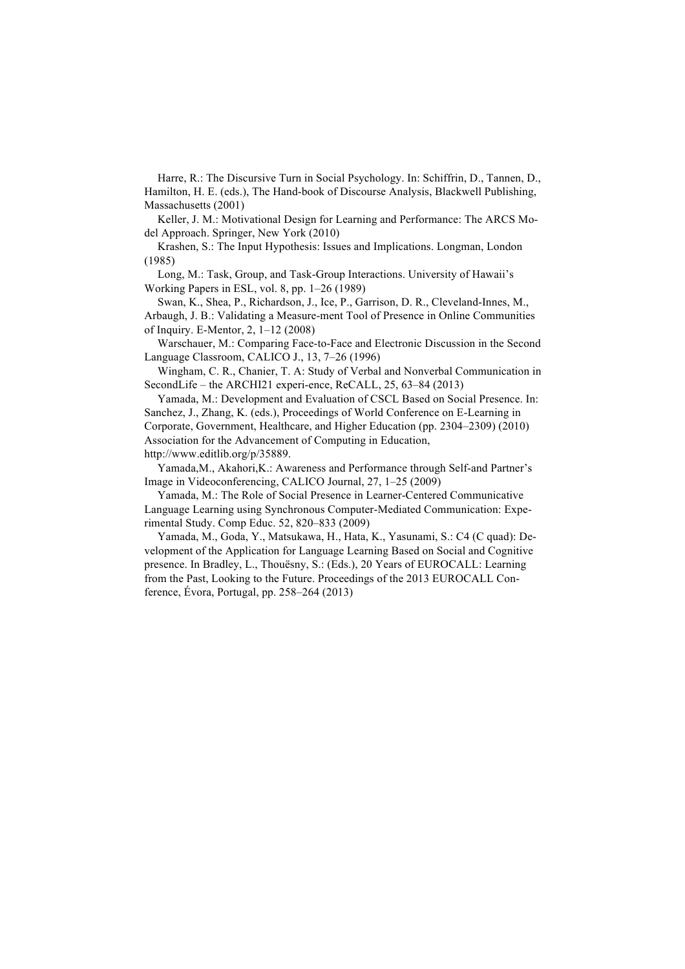Harre, R.: The Discursive Turn in Social Psychology. In: Schiffrin, D., Tannen, D., Hamilton, H. E. (eds.), The Hand-book of Discourse Analysis, Blackwell Publishing, Massachusetts (2001)

Keller, J. M.: Motivational Design for Learning and Performance: The ARCS Model Approach. Springer, New York (2010)

Krashen, S.: The Input Hypothesis: Issues and Implications. Longman, London (1985)

Long, M.: Task, Group, and Task-Group Interactions. University of Hawaii's Working Papers in ESL, vol. 8, pp. 1–26 (1989)

Swan, K., Shea, P., Richardson, J., Ice, P., Garrison, D. R., Cleveland-Innes, M., Arbaugh, J. B.: Validating a Measure-ment Tool of Presence in Online Communities of Inquiry. E-Mentor, 2, 1–12 (2008)

Warschauer, M.: Comparing Face-to-Face and Electronic Discussion in the Second Language Classroom, CALICO J., 13, 7–26 (1996)

Wingham, C. R., Chanier, T. A: Study of Verbal and Nonverbal Communication in SecondLife – the ARCHI21 experi-ence, ReCALL, 25, 63–84 (2013)

Yamada, M.: Development and Evaluation of CSCL Based on Social Presence. In: Sanchez, J., Zhang, K. (eds.), Proceedings of World Conference on E-Learning in Corporate, Government, Healthcare, and Higher Education (pp. 2304–2309) (2010) Association for the Advancement of Computing in Education, http://www.editlib.org/p/35889.

Yamada,M., Akahori,K.: Awareness and Performance through Self-and Partner's Image in Videoconferencing, CALICO Journal, 27, 1–25 (2009)

Yamada, M.: The Role of Social Presence in Learner-Centered Communicative Language Learning using Synchronous Computer-Mediated Communication: Experimental Study. Comp Educ. 52, 820–833 (2009)

Yamada, M., Goda, Y., Matsukawa, H., Hata, K., Yasunami, S.: C4 (C quad): Development of the Application for Language Learning Based on Social and Cognitive presence. In Bradley, L., Thouësny, S.: (Eds.), 20 Years of EUROCALL: Learning from the Past, Looking to the Future. Proceedings of the 2013 EUROCALL Conference, Évora, Portugal, pp. 258–264 (2013)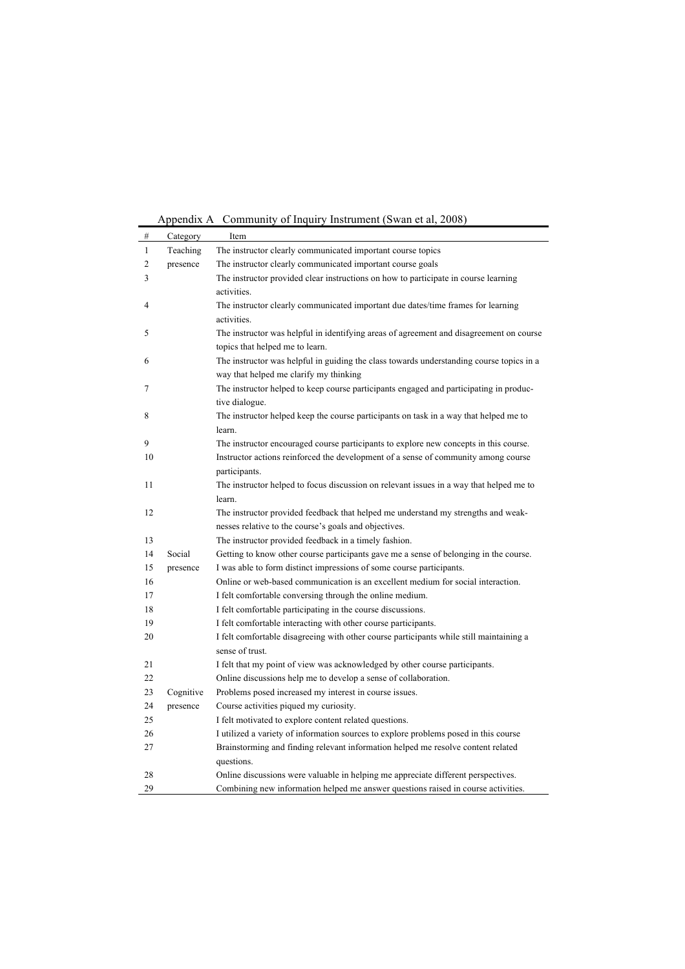Appendix A Community of Inquiry Instrument (Swan et al, 2008)

| #              | Category  | Item                                                                                     |
|----------------|-----------|------------------------------------------------------------------------------------------|
| 1              | Teaching  | The instructor clearly communicated important course topics                              |
| $\overline{c}$ | presence  | The instructor clearly communicated important course goals                               |
| 3              |           | The instructor provided clear instructions on how to participate in course learning      |
|                |           | activities.                                                                              |
| 4              |           | The instructor clearly communicated important due dates/time frames for learning         |
|                |           | activities.                                                                              |
| 5              |           | The instructor was helpful in identifying areas of agreement and disagreement on course  |
|                |           | topics that helped me to learn.                                                          |
| 6              |           | The instructor was helpful in guiding the class towards understanding course topics in a |
|                |           | way that helped me clarify my thinking                                                   |
| 7              |           | The instructor helped to keep course participants engaged and participating in produc-   |
|                |           | tive dialogue.                                                                           |
| 8              |           | The instructor helped keep the course participants on task in a way that helped me to    |
|                |           | learn.                                                                                   |
| 9              |           | The instructor encouraged course participants to explore new concepts in this course.    |
| 10             |           | Instructor actions reinforced the development of a sense of community among course       |
|                |           | participants.                                                                            |
| 11             |           | The instructor helped to focus discussion on relevant issues in a way that helped me to  |
|                |           | learn.                                                                                   |
| 12             |           | The instructor provided feedback that helped me understand my strengths and weak-        |
|                |           | nesses relative to the course's goals and objectives.                                    |
| 13             |           | The instructor provided feedback in a timely fashion.                                    |
| 14             | Social    | Getting to know other course participants gave me a sense of belonging in the course.    |
| 15             | presence  | I was able to form distinct impressions of some course participants.                     |
| 16             |           | Online or web-based communication is an excellent medium for social interaction.         |
| 17             |           | I felt comfortable conversing through the online medium.                                 |
| 18             |           | I felt comfortable participating in the course discussions.                              |
| 19             |           | I felt comfortable interacting with other course participants.                           |
| 20             |           | I felt comfortable disagreeing with other course participants while still maintaining a  |
|                |           | sense of trust.                                                                          |
| 21             |           | I felt that my point of view was acknowledged by other course participants.              |
| 22             |           | Online discussions help me to develop a sense of collaboration.                          |
| 23             | Cognitive | Problems posed increased my interest in course issues.                                   |
| 24             | presence  | Course activities piqued my curiosity.                                                   |
| 25             |           | I felt motivated to explore content related questions.                                   |
| 26             |           | I utilized a variety of information sources to explore problems posed in this course     |
| 27             |           | Brainstorming and finding relevant information helped me resolve content related         |
|                |           | questions.                                                                               |
| 28             |           | Online discussions were valuable in helping me appreciate different perspectives.        |
| 29             |           | Combining new information helped me answer questions raised in course activities.        |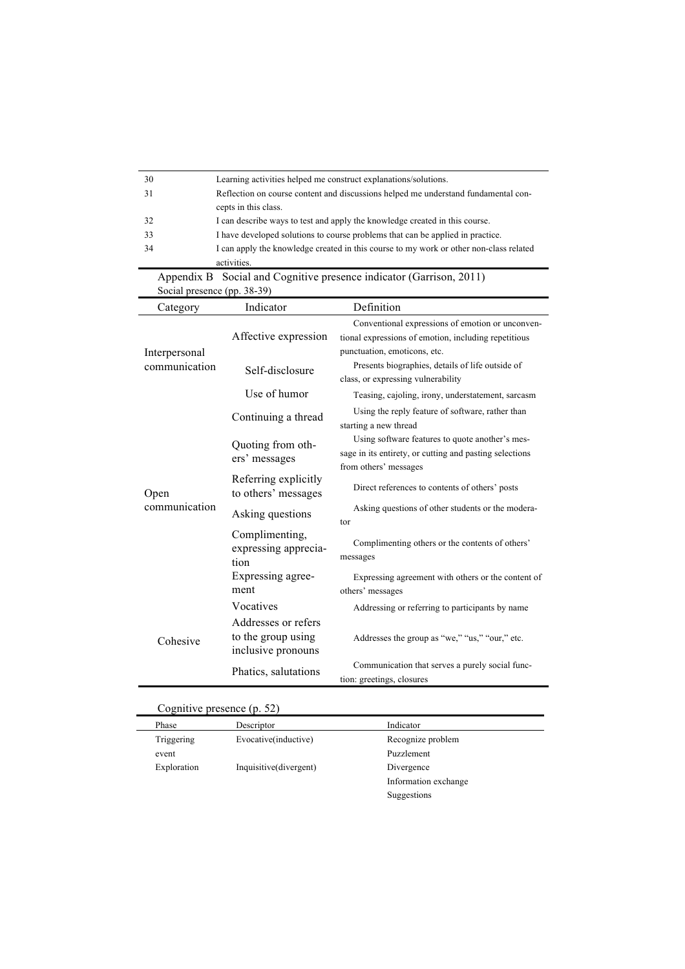| 30                                                                  | Learning activities helped me construct explanations/solutions.                        |                                                                                                                                          |  |
|---------------------------------------------------------------------|----------------------------------------------------------------------------------------|------------------------------------------------------------------------------------------------------------------------------------------|--|
| 31                                                                  |                                                                                        | Reflection on course content and discussions helped me understand fundamental con-                                                       |  |
|                                                                     | cepts in this class.                                                                   |                                                                                                                                          |  |
| 32                                                                  |                                                                                        | I can describe ways to test and apply the knowledge created in this course.                                                              |  |
| 33                                                                  | I have developed solutions to course problems that can be applied in practice.         |                                                                                                                                          |  |
| 34                                                                  | I can apply the knowledge created in this course to my work or other non-class related |                                                                                                                                          |  |
|                                                                     | activities.                                                                            |                                                                                                                                          |  |
| Appendix B Social and Cognitive presence indicator (Garrison, 2011) |                                                                                        |                                                                                                                                          |  |
| Social presence (pp. 38-39)                                         |                                                                                        |                                                                                                                                          |  |
| Category                                                            | Indicator                                                                              | Definition                                                                                                                               |  |
| Interpersonal                                                       | Affective expression                                                                   | Conventional expressions of emotion or unconven-<br>tional expressions of emotion, including repetitious<br>punctuation, emoticons, etc. |  |
| communication                                                       | Self-disclosure                                                                        | Presents biographies, details of life outside of<br>class, or expressing vulnerability                                                   |  |
|                                                                     | Use of humor                                                                           | Teasing, cajoling, irony, understatement, sarcasm                                                                                        |  |
|                                                                     | Continuing a thread                                                                    | Using the reply feature of software, rather than<br>starting a new thread                                                                |  |
|                                                                     | Quoting from oth-<br>ers' messages                                                     | Using software features to quote another's mes-<br>sage in its entirety, or cutting and pasting selections<br>from others' messages      |  |
| Open                                                                | Referring explicitly<br>to others' messages                                            | Direct references to contents of others' posts                                                                                           |  |
| communication                                                       | Asking questions                                                                       | Asking questions of other students or the modera-<br>tor                                                                                 |  |
|                                                                     | Complimenting,<br>expressing apprecia-<br>tion                                         | Complimenting others or the contents of others'<br>messages                                                                              |  |
|                                                                     | Expressing agree-<br>ment                                                              | Expressing agreement with others or the content of<br>others' messages                                                                   |  |
|                                                                     | Vocatives                                                                              | Addressing or referring to participants by name                                                                                          |  |
| Cohesive                                                            | Addresses or refers<br>to the group using<br>inclusive pronouns                        | Addresses the group as "we," "us," "our," etc.                                                                                           |  |
|                                                                     | Phatics, salutations                                                                   | Communication that serves a purely social func-<br>tion: greetings, closures                                                             |  |

# Cognitive presence (p. 52)

| Phase       | Descriptor             | Indicator            |  |
|-------------|------------------------|----------------------|--|
| Triggering  | Evocative(inductive)   | Recognize problem    |  |
| event       |                        | Puzzlement           |  |
| Exploration | Inquisitive(divergent) | Divergence           |  |
|             |                        | Information exchange |  |
|             |                        | Suggestions          |  |